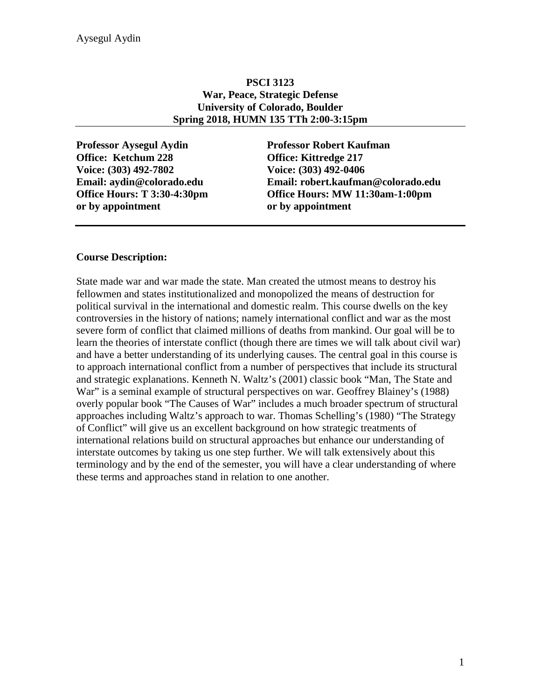### **PSCI 3123 War, Peace, Strategic Defense University of Colorado, Boulder Spring 2018, HUMN 135 TTh 2:00-3:15pm**

**Professor Aysegul Aydin Professor Robert Kaufman Office: Ketchum 228 Office: Kittredge 217 Voice: (303) 492-7802 Voice: (303) 492-0406 or by appointment or by appointment**

**Email: aydin@colorado.edu Email: robert.kaufman@colorado.edu Office Hours: T 3:30-4:30pm Office Hours: MW 11:30am-1:00pm**

### **Course Description:**

State made war and war made the state. Man created the utmost means to destroy his fellowmen and states institutionalized and monopolized the means of destruction for political survival in the international and domestic realm. This course dwells on the key controversies in the history of nations; namely international conflict and war as the most severe form of conflict that claimed millions of deaths from mankind. Our goal will be to learn the theories of interstate conflict (though there are times we will talk about civil war) and have a better understanding of its underlying causes. The central goal in this course is to approach international conflict from a number of perspectives that include its structural and strategic explanations. Kenneth N. Waltz's (2001) classic book "Man, The State and War" is a seminal example of structural perspectives on war. Geoffrey Blainey's (1988) overly popular book "The Causes of War" includes a much broader spectrum of structural approaches including Waltz's approach to war. Thomas Schelling's (1980) "The Strategy of Conflict" will give us an excellent background on how strategic treatments of international relations build on structural approaches but enhance our understanding of interstate outcomes by taking us one step further. We will talk extensively about this terminology and by the end of the semester, you will have a clear understanding of where these terms and approaches stand in relation to one another.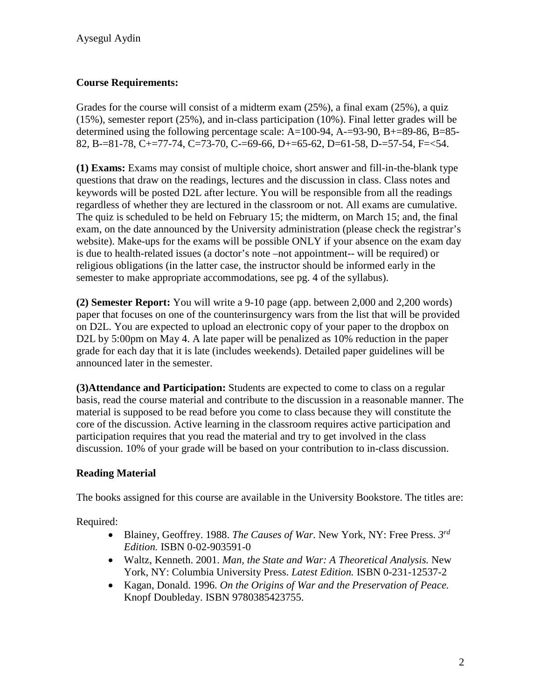# **Course Requirements:**

Grades for the course will consist of a midterm exam (25%), a final exam (25%), a quiz (15%), semester report (25%), and in-class participation (10%). Final letter grades will be determined using the following percentage scale: A=100-94, A-=93-90, B+=89-86, B=85- 82, B-=81-78, C+=77-74, C=73-70, C-=69-66, D+=65-62, D=61-58, D-=57-54, F=<54.

**(1) Exams:** Exams may consist of multiple choice, short answer and fill-in-the-blank type questions that draw on the readings, lectures and the discussion in class. Class notes and keywords will be posted D2L after lecture. You will be responsible from all the readings regardless of whether they are lectured in the classroom or not. All exams are cumulative. The quiz is scheduled to be held on February 15; the midterm, on March 15; and, the final exam, on the date announced by the University administration (please check the registrar's website). Make-ups for the exams will be possible ONLY if your absence on the exam day is due to health-related issues (a doctor's note –not appointment-- will be required) or religious obligations (in the latter case, the instructor should be informed early in the semester to make appropriate accommodations, see pg. 4 of the syllabus).

**(2) Semester Report:** You will write a 9-10 page (app. between 2,000 and 2,200 words) paper that focuses on one of the counterinsurgency wars from the list that will be provided on D2L. You are expected to upload an electronic copy of your paper to the dropbox on D2L by 5:00pm on May 4. A late paper will be penalized as 10% reduction in the paper grade for each day that it is late (includes weekends). Detailed paper guidelines will be announced later in the semester.

**(3)Attendance and Participation:** Students are expected to come to class on a regular basis, read the course material and contribute to the discussion in a reasonable manner. The material is supposed to be read before you come to class because they will constitute the core of the discussion. Active learning in the classroom requires active participation and participation requires that you read the material and try to get involved in the class discussion. 10% of your grade will be based on your contribution to in-class discussion.

# **Reading Material**

The books assigned for this course are available in the University Bookstore. The titles are:

Required:

- Blainey, Geoffrey. 1988. *The Causes of War.* New York, NY: Free Press. *3rd Edition.* ISBN 0-02-903591-0
- Waltz, Kenneth. 2001. *Man, the State and War: A Theoretical Analysis.* New York, NY: Columbia University Press. *Latest Edition.* ISBN 0-231-12537-2
- Kagan, Donald. 1996. *On the Origins of War and the Preservation of Peace.*  Knopf Doubleday. ISBN 9780385423755.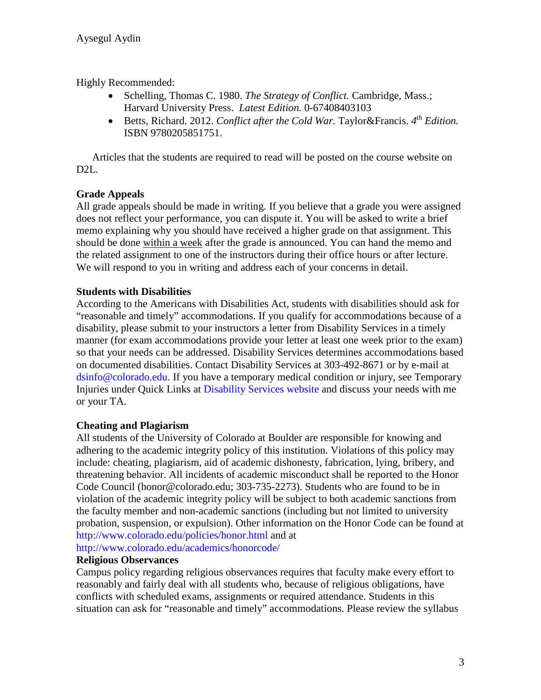Highly Recommended:

- Schelling, Thomas C. 1980. *The Strategy of Conflict.* Cambridge, Mass.; Harvard University Press. *Latest Edition.* 0-67408403103
- Betts, Richard. 2012. *Conflict after the Cold War*. Taylor&Francis. 4<sup>th</sup> Edition. ISBN 9780205851751.

Articles that the students are required to read will be posted on the course website on D2L.

# **Grade Appeals**

All grade appeals should be made in writing. If you believe that a grade you were assigned does not reflect your performance, you can dispute it. You will be asked to write a brief memo explaining why you should have received a higher grade on that assignment. This should be done within a week after the grade is announced. You can hand the memo and the related assignment to one of the instructors during their office hours or after lecture. We will respond to you in writing and address each of your concerns in detail.

# **Students with Disabilities**

According to the Americans with Disabilities Act, students with disabilities should ask for "reasonable and timely" accommodations. If you qualify for accommodations because of a disability, please submit to your instructors a letter from Disability Services in a timely manner (for exam accommodations provide your letter at least one week prior to the exam) so that your needs can be addressed. Disability Services determines accommodations based on documented disabilities. Contact Disability Services at 303-492-8671 or by e-mail at dsinfo@colorado.edu. If you have a temporary medical condition or injury, see Temporary Injuries under Quick Links at Disability Services website and discuss your needs with me or your TA.

# **Cheating and Plagiarism**

All students of the University of Colorado at Boulder are responsible for knowing and adhering to the academic integrity policy of this institution. Violations of this policy may include: cheating, plagiarism, aid of academic dishonesty, fabrication, lying, bribery, and threatening behavior. All incidents of academic misconduct shall be reported to the Honor Code Council (honor@colorado.edu; 303-735-2273). Students who are found to be in violation of the academic integrity policy will be subject to both academic sanctions from the faculty member and non-academic sanctions (including but not limited to university probation, suspension, or expulsion). Other information on the Honor Code can be found at http://www.colorado.edu/policies/honor.html and at

http://www.colorado.edu/academics/honorcode/

# **Religious Observances**

Campus policy regarding religious observances requires that faculty make every effort to reasonably and fairly deal with all students who, because of religious obligations, have conflicts with scheduled exams, assignments or required attendance. Students in this situation can ask for "reasonable and timely" accommodations. Please review the syllabus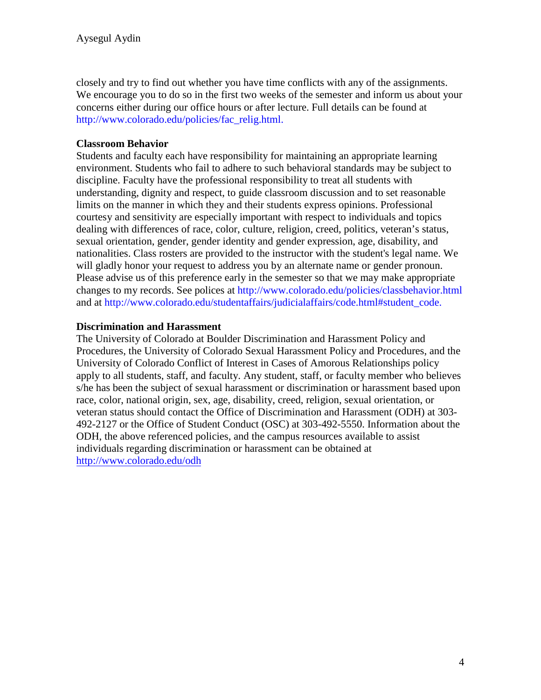closely and try to find out whether you have time conflicts with any of the assignments. We encourage you to do so in the first two weeks of the semester and inform us about your concerns either during our office hours or after lecture. Full details can be found at http://www.colorado.edu/policies/fac\_relig.html.

### **Classroom Behavior**

Students and faculty each have responsibility for maintaining an appropriate learning environment. Students who fail to adhere to such behavioral standards may be subject to discipline. Faculty have the professional responsibility to treat all students with understanding, dignity and respect, to guide classroom discussion and to set reasonable limits on the manner in which they and their students express opinions. Professional courtesy and sensitivity are especially important with respect to individuals and topics dealing with differences of race, color, culture, religion, creed, politics, veteran's status, sexual orientation, gender, gender identity and gender expression, age, disability, and nationalities. Class rosters are provided to the instructor with the student's legal name. We will gladly honor your request to address you by an alternate name or gender pronoun. Please advise us of this preference early in the semester so that we may make appropriate changes to my records. See polices at http://www.colorado.edu/policies/classbehavior.html and at http://www.colorado.edu/studentaffairs/judicialaffairs/code.html#student\_code.

### **Discrimination and Harassment**

The University of Colorado at Boulder Discrimination and Harassment Policy and Procedures, the University of Colorado Sexual Harassment Policy and Procedures, and the University of Colorado Conflict of Interest in Cases of Amorous Relationships policy apply to all students, staff, and faculty. Any student, staff, or faculty member who believes s/he has been the subject of sexual harassment or discrimination or harassment based upon race, color, national origin, sex, age, disability, creed, religion, sexual orientation, or veteran status should contact the Office of Discrimination and Harassment (ODH) at 303- 492-2127 or the Office of Student Conduct (OSC) at 303-492-5550. Information about the ODH, the above referenced policies, and the campus resources available to assist individuals regarding discrimination or harassment can be obtained at <http://www.colorado.edu/odh>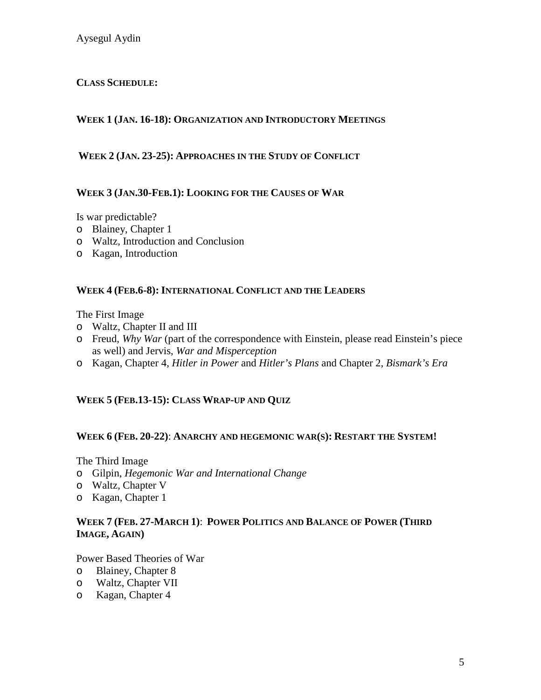# **CLASS SCHEDULE:**

### **WEEK 1 (JAN. 16-18): ORGANIZATION AND INTRODUCTORY MEETINGS**

### **WEEK 2 (JAN. 23-25): APPROACHES IN THE STUDY OF CONFLICT**

### **WEEK 3 (JAN.30-FEB.1): LOOKING FOR THE CAUSES OF WAR**

Is war predictable?

- o Blainey, Chapter 1
- o Waltz, Introduction and Conclusion
- o Kagan, Introduction

### **WEEK 4 (FEB.6-8): INTERNATIONAL CONFLICT AND THE LEADERS**

The First Image

- o Waltz, Chapter II and III
- o Freud, *Why War* (part of the correspondence with Einstein, please read Einstein's piece as well) and Jervis, *War and Misperception*
- o Kagan, Chapter 4, *Hitler in Power* and *Hitler's Plans* and Chapter 2, *Bismark's Era*

### **WEEK 5 (FEB.13-15): CLASS WRAP-UP AND QUIZ**

#### **WEEK 6 (FEB. 20-22)**: **ANARCHY AND HEGEMONIC WAR(S): RESTART THE SYSTEM!**

The Third Image

- o Gilpin, *Hegemonic War and International Change*
- o Waltz, Chapter V
- o Kagan, Chapter 1

### **WEEK 7 (FEB. 27-MARCH 1)**: **POWER POLITICS AND BALANCE OF POWER (THIRD IMAGE, AGAIN)**

Power Based Theories of War

- o Blainey, Chapter 8
- Waltz, Chapter VII
- o Kagan, Chapter 4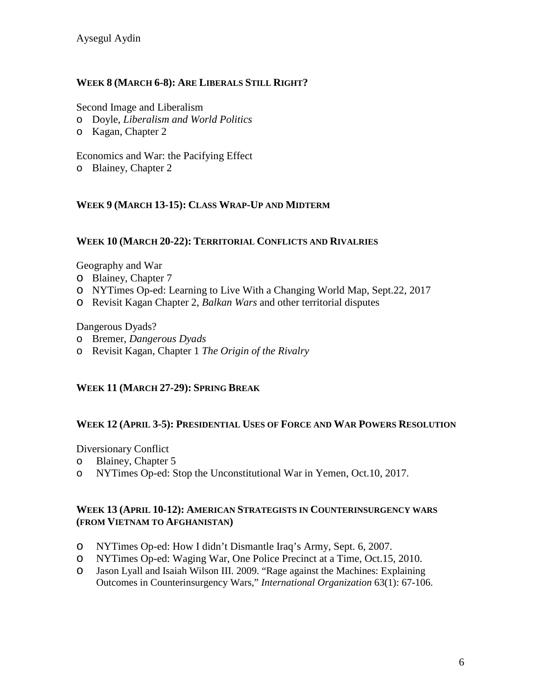# **WEEK 8 (MARCH 6-8): ARE LIBERALS STILL RIGHT?**

Second Image and Liberalism

- o Doyle, *Liberalism and World Politics*
- o Kagan, Chapter 2

Economics and War: the Pacifying Effect

o Blainey, Chapter 2

### **WEEK 9 (MARCH 13-15): CLASS WRAP-UP AND MIDTERM**

### **WEEK 10 (MARCH 20-22): TERRITORIAL CONFLICTS AND RIVALRIES**

Geography and War

- o Blainey, Chapter 7
- o NYTimes Op-ed: Learning to Live With a Changing World Map, Sept.22, 2017
- o Revisit Kagan Chapter 2, *Balkan Wars* and other territorial disputes

Dangerous Dyads?

- o Bremer, *Dangerous Dyads*
- o Revisit Kagan, Chapter 1 *The Origin of the Rivalry*

### **WEEK 11 (MARCH 27-29): SPRING BREAK**

#### **WEEK 12 (APRIL 3-5): PRESIDENTIAL USES OF FORCE AND WAR POWERS RESOLUTION**

Diversionary Conflict

- o Blainey, Chapter 5
- o NYTimes Op-ed: Stop the Unconstitutional War in Yemen, Oct.10, 2017.

#### **WEEK 13 (APRIL 10-12): AMERICAN STRATEGISTS IN COUNTERINSURGENCY WARS (FROM VIETNAM TO AFGHANISTAN)**

- o NYTimes Op-ed: How I didn't Dismantle Iraq's Army, Sept. 6, 2007.
- o NYTimes Op-ed: Waging War, One Police Precinct at a Time, Oct.15, 2010.<br>O Jason Lyall and Isaiah Wilson III. 2009. "Rage against the Machines: Explaining
- Jason Lyall and Isaiah Wilson III. 2009. "Rage against the Machines: Explaining Outcomes in Counterinsurgency Wars," *International Organization* 63(1): 67-106.